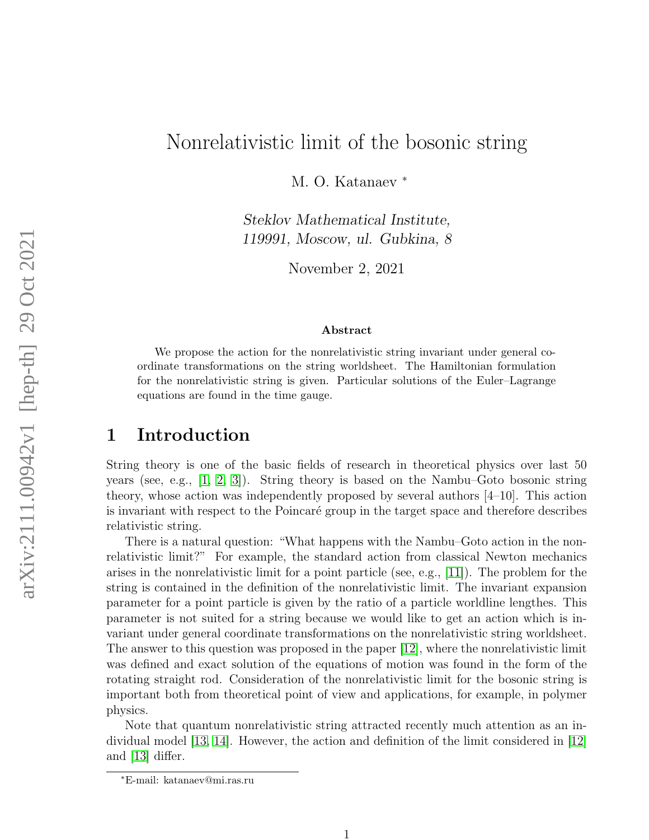# Nonrelativistic limit of the bosonic string

M. O. Katanaev  $*$ 

Steklov Mathematical Institute, 119991, Moscow, ul. Gubkina, 8

November 2, 2021

#### Abstract

We propose the action for the nonrelativistic string invariant under general coordinate transformations on the string worldsheet. The Hamiltonian formulation for the nonrelativistic string is given. Particular solutions of the Euler–Lagrange equations are found in the time gauge.

#### 1 Introduction

String theory is one of the basic fields of research in theoretical physics over last 50 years (see, e.g., [\[1,](#page-12-0) [2,](#page-12-1) [3\]](#page-12-2)). String theory is based on the Nambu–Goto bosonic string theory, whose action was independently proposed by several authors [4–10]. This action is invariant with respect to the Poincaré group in the target space and therefore describes relativistic string.

There is a natural question: "What happens with the Nambu–Goto action in the nonrelativistic limit?" For example, the standard action from classical Newton mechanics arises in the nonrelativistic limit for a point particle (see, e.g., [\[11\]](#page-12-3)). The problem for the string is contained in the definition of the nonrelativistic limit. The invariant expansion parameter for a point particle is given by the ratio of a particle worldline lengthes. This parameter is not suited for a string because we would like to get an action which is invariant under general coordinate transformations on the nonrelativistic string worldsheet. The answer to this question was proposed in the paper [\[12\]](#page-12-4), where the nonrelativistic limit was defined and exact solution of the equations of motion was found in the form of the rotating straight rod. Consideration of the nonrelativistic limit for the bosonic string is important both from theoretical point of view and applications, for example, in polymer physics.

Note that quantum nonrelativistic string attracted recently much attention as an individual model [\[13,](#page-13-0) [14\]](#page-13-1). However, the action and definition of the limit considered in [\[12\]](#page-12-4) and [\[13\]](#page-13-0) differ.

<sup>∗</sup>E-mail: katanaev@mi.ras.ru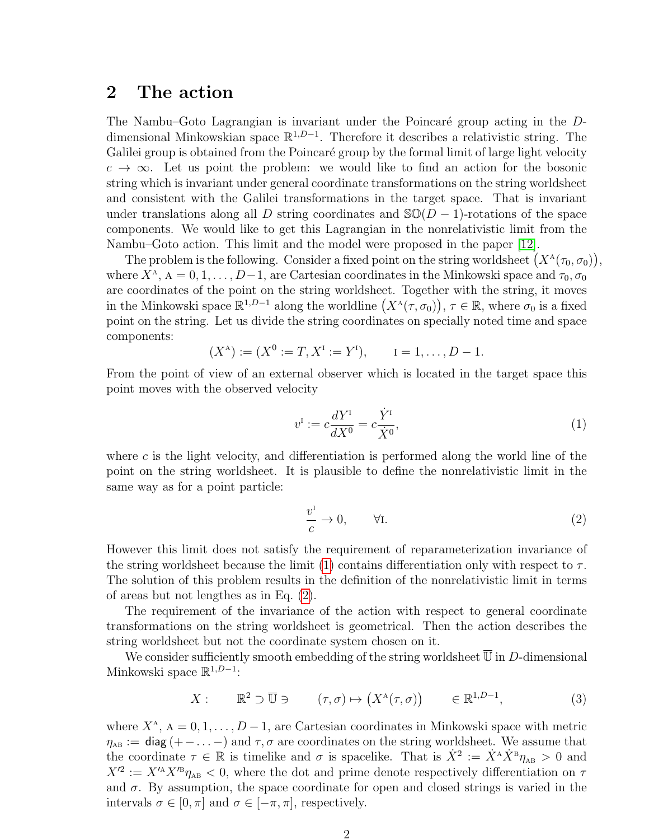#### <span id="page-1-2"></span>2 The action

The Nambu–Goto Lagrangian is invariant under the Poincaré group acting in the  $D$ dimensional Minkowskian space  $\mathbb{R}^{1,D-1}$ . Therefore it describes a relativistic string. The Galilei group is obtained from the Poincaré group by the formal limit of large light velocity  $c \to \infty$ . Let us point the problem: we would like to find an action for the bosonic string which is invariant under general coordinate transformations on the string worldsheet and consistent with the Galilei transformations in the target space. That is invariant under translations along all D string coordinates and  $\mathcal{SO}(D-1)$ -rotations of the space components. We would like to get this Lagrangian in the nonrelativistic limit from the Nambu–Goto action. This limit and the model were proposed in the paper [\[12\]](#page-12-4).

The problem is the following. Consider a fixed point on the string worldsheet  $(X^{\Lambda}(\tau_0, \sigma_0)),$ where  $X^{\Lambda}$ ,  $A = 0, 1, ..., D-1$ , are Cartesian coordinates in the Minkowski space and  $\tau_0, \sigma_0$ are coordinates of the point on the string worldsheet. Together with the string, it moves in the Minkowski space  $\mathbb{R}^{1,D-1}$  along the worldline  $(X^{\Lambda}(\tau,\sigma_0)), \tau \in \mathbb{R}$ , where  $\sigma_0$  is a fixed point on the string. Let us divide the string coordinates on specially noted time and space components:

$$
(X^A) := (X^0 := T, X^I := Y^I), \quad I = 1, ..., D - 1.
$$

From the point of view of an external observer which is located in the target space this point moves with the observed velocity

<span id="page-1-0"></span>
$$
v^{I} := c \frac{dY^{I}}{dX^{0}} = c \frac{\dot{Y}^{I}}{\dot{X}^{0}},
$$
\n(1)

where c is the light velocity, and differentiation is performed along the world line of the point on the string worldsheet. It is plausible to define the nonrelativistic limit in the same way as for a point particle:

<span id="page-1-1"></span>
$$
\frac{v^{\mathrm{I}}}{c} \to 0, \qquad \forall \mathrm{I}.
$$

However this limit does not satisfy the requirement of reparameterization invariance of the string worldsheet because the limit [\(1\)](#page-1-0) contains differentiation only with respect to  $\tau$ . The solution of this problem results in the definition of the nonrelativistic limit in terms of areas but not lengthes as in Eq. [\(2\)](#page-1-1).

The requirement of the invariance of the action with respect to general coordinate transformations on the string worldsheet is geometrical. Then the action describes the string worldsheet but not the coordinate system chosen on it.

We consider sufficiently smooth embedding of the string worldsheet  $\overline{\mathbb{U}}$  in D-dimensional Minkowski space  $\mathbb{R}^{1,D-1}$ :

<span id="page-1-3"></span>
$$
X: \qquad \mathbb{R}^2 \supset \overline{\mathbb{U}} \ni \qquad (\tau, \sigma) \mapsto \left( X^{\mathcal{A}}(\tau, \sigma) \right) \qquad \in \mathbb{R}^{1, D-1}, \tag{3}
$$

where  $X^{\mathcal{A}}$ ,  $\mathcal{A} = 0, 1, \ldots, D-1$ , are Cartesian coordinates in Minkowski space with metric  $\eta_{AB} := \text{diag}(+-\ldots-)$  and  $\tau, \sigma$  are coordinates on the string worldsheet. We assume that the coordinate  $\tau \in \mathbb{R}$  is timelike and  $\sigma$  is spacelike. That is  $\dot{X}^2 := \dot{X}^A \dot{X}^B \eta_{AB} > 0$  and  $X'^2 := X'^A X'^B \eta_{AB} < 0$ , where the dot and prime denote respectively differentiation on  $\tau$ and  $\sigma$ . By assumption, the space coordinate for open and closed strings is varied in the intervals  $\sigma \in [0, \pi]$  and  $\sigma \in [-\pi, \pi]$ , respectively.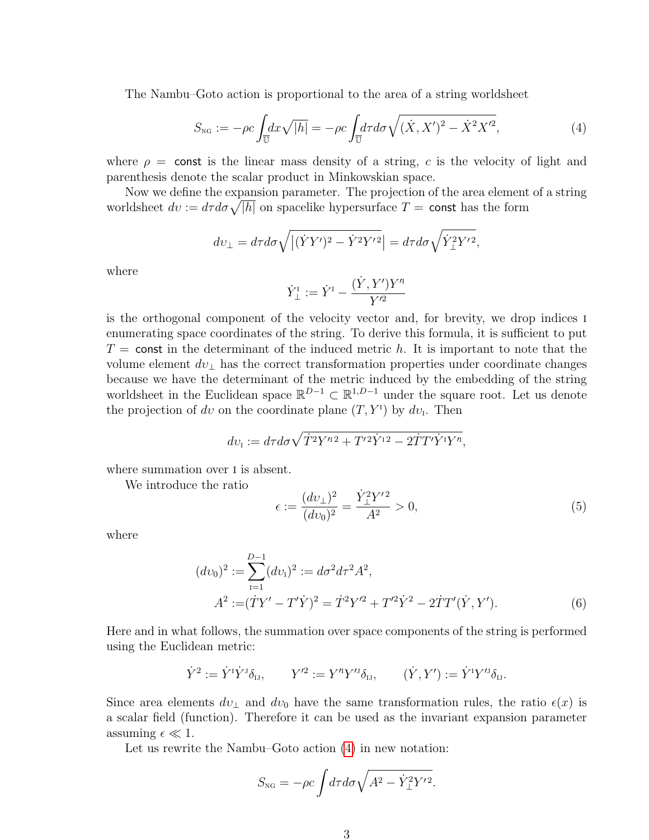The Nambu–Goto action is proportional to the area of a string worldsheet

<span id="page-2-0"></span>
$$
S_{\rm NG} := -\rho c \int_{\overline{U}} dx \sqrt{|h|} = -\rho c \int_{\overline{U}} d\tau d\sigma \sqrt{(\dot{X}, X')^2 - \dot{X}^2 X'^2},\tag{4}
$$

where  $\rho = \text{const}$  is the linear mass density of a string, c is the velocity of light and parenthesis denote the scalar product in Minkowskian space.

Now we define the expansion parameter. The projection of the area element of a string worldsheet  $dv := d\tau d\sigma \sqrt{|h|}$  on spacelike hypersurface  $T = \text{const}$  has the form

$$
dv_{\perp} = d\tau d\sigma \sqrt{\left| (\dot{Y}Y')^2 - \dot{Y}^2 Y'^2 \right|} = d\tau d\sigma \sqrt{\dot{Y}_{\perp}^2 Y'^2},
$$

where

$$
\dot Y_\perp^{\scriptscriptstyle{\mathrm{I}}}:=\dot Y^{\scriptscriptstyle{\mathrm{I}}}-\frac{(\dot Y,Y')Y'^{\scriptscriptstyle{\mathrm{I}}}}{Y'^{\scriptscriptstyle{\mathrm{2}}}}
$$

is the orthogonal component of the velocity vector and, for brevity, we drop indices i enumerating space coordinates of the string. To derive this formula, it is sufficient to put  $T =$  const in the determinant of the induced metric h. It is important to note that the volume element  $dv_{\perp}$  has the correct transformation properties under coordinate changes because we have the determinant of the metric induced by the embedding of the string worldsheet in the Euclidean space  $\mathbb{R}^{D-1} \subset \mathbb{R}^{1,D-1}$  under the square root. Let us denote the projection of dv on the coordinate plane  $(T, Y^{\mathsf{T}})$  by dv<sub>I</sub>. Then

$$
dv_{\rm I} := d\tau d\sigma \sqrt{\dot{T}^2 Y^{n2} + T^{\prime 2} \dot{Y}^{12} - 2\dot{T} T^{\prime} \dot{Y}^{1} Y^{n}},
$$

where summation over  $I$  is absent.

We introduce the ratio

<span id="page-2-2"></span><span id="page-2-1"></span>
$$
\epsilon := \frac{(dv_{\perp})^2}{(dv_0)^2} = \frac{\dot{Y}_{\perp}^2 Y'^2}{A^2} > 0,
$$
\n(5)

where

$$
(dv_0)^2 := \sum_{i=1}^{D-1} (dv_i)^2 := d\sigma^2 d\tau^2 A^2,
$$
  

$$
A^2 := (\dot{T}Y' - T'\dot{Y})^2 = \dot{T}^2 Y'^2 + T'^2 \dot{Y}^2 - 2\dot{T}T'(\dot{Y}, Y').
$$
 (6)

Here and in what follows, the summation over space components of the string is performed using the Euclidean metric:

$$
\dot Y^2 := \dot Y^I \dot Y^J \delta_{IJ}, \qquad Y'^2 := Y'^I Y'^J \delta_{IJ}, \qquad (\dot Y, Y') := \dot Y^I Y'^J \delta_{IJ}.
$$

Since area elements  $dv_{\perp}$  and  $dv_0$  have the same transformation rules, the ratio  $\epsilon(x)$  is a scalar field (function). Therefore it can be used as the invariant expansion parameter assuming  $\epsilon \ll 1$ .

Let us rewrite the Nambu–Goto action [\(4\)](#page-2-0) in new notation:

$$
S_{\text{NG}} = -\rho c \int d\tau d\sigma \sqrt{A^2 - \dot{Y}_{\perp}^2 Y'^2}.
$$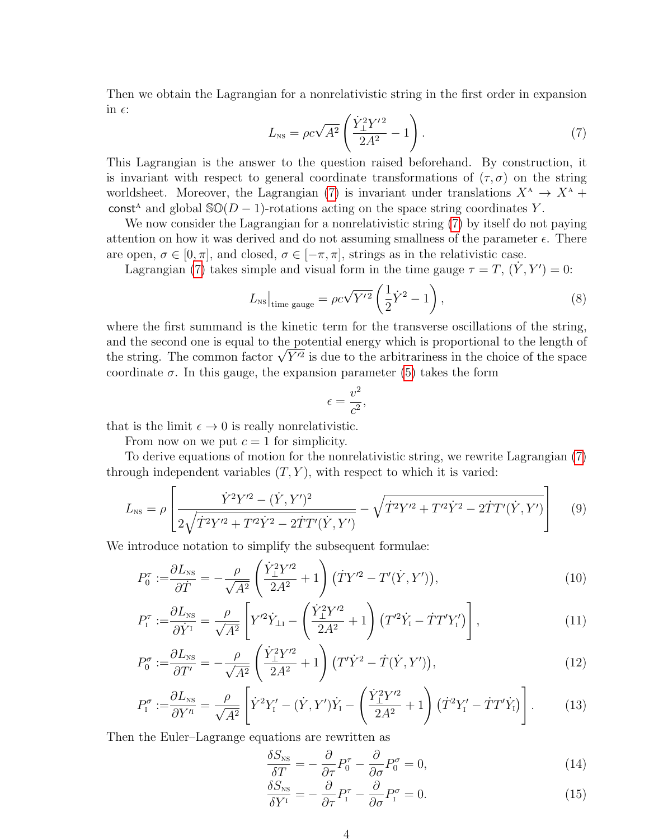Then we obtain the Lagrangian for a nonrelativistic string in the first order in expansion in  $\epsilon$ :

<span id="page-3-0"></span>
$$
L_{\rm NS} = \rho c \sqrt{A^2} \left( \frac{\dot{Y}_{\perp}^2 Y'^2}{2A^2} - 1 \right). \tag{7}
$$

This Lagrangian is the answer to the question raised beforehand. By construction, it is invariant with respect to general coordinate transformations of  $(\tau, \sigma)$  on the string worldsheet. Moreover, the Lagrangian [\(7\)](#page-3-0) is invariant under translations  $X^{\mathcal{A}} \to X^{\mathcal{A}}$  + const<sup>4</sup> and global  $\mathcal{SO}(D-1)$ -rotations acting on the space string coordinates Y.

We now consider the Lagrangian for a nonrelativistic string [\(7\)](#page-3-0) by itself do not paying attention on how it was derived and do not assuming smallness of the parameter  $\epsilon$ . There are open,  $\sigma \in [0, \pi]$ , and closed,  $\sigma \in [-\pi, \pi]$ , strings as in the relativistic case.

Lagrangian [\(7\)](#page-3-0) takes simple and visual form in the time gauge  $\tau = T$ ,  $(\dot{Y}, Y') = 0$ :

$$
L_{\rm NS}\Big|_{\rm time\ gauge} = \rho c \sqrt{Y'^2} \left(\frac{1}{2} \dot{Y}^2 - 1\right),\tag{8}
$$

where the first summand is the kinetic term for the transverse oscillations of the string, and the second one is equal to the potential energy which is proportional to the length of and the second one is equal to the potential energy which is proportional to the length of<br>the string. The common factor  $\sqrt{Y'^2}$  is due to the arbitrariness in the choice of the space coordinate  $\sigma$ . In this gauge, the expansion parameter [\(5\)](#page-2-1) takes the form

<span id="page-3-3"></span>
$$
\epsilon = \frac{v^2}{c^2},
$$

that is the limit  $\epsilon \to 0$  is really nonrelativistic.

From now on we put  $c = 1$  for simplicity.

To derive equations of motion for the nonrelativistic string, we rewrite Lagrangian [\(7\)](#page-3-0) through independent variables  $(T, Y)$ , with respect to which it is varied:

$$
L_{\rm NS} = \rho \left[ \frac{\dot{Y}^2 Y^{\prime 2} - (\dot{Y}, Y^{\prime})^2}{2\sqrt{\dot{T}^2 Y^{\prime 2} + T^{\prime 2} \dot{Y}^2 - 2\dot{T} T^{\prime} (\dot{Y}, Y^{\prime})}} - \sqrt{\dot{T}^2 Y^{\prime 2} + T^{\prime 2} \dot{Y}^2 - 2\dot{T} T^{\prime} (\dot{Y}, Y^{\prime})} \right]
$$
(9)

We introduce notation to simplify the subsequent formulae:

$$
P_0^{\tau} := \frac{\partial L_{\text{NS}}}{\partial \dot{T}} = -\frac{\rho}{\sqrt{A^2}} \left( \frac{\dot{Y}_{\perp}^2 Y'^2}{2A^2} + 1 \right) (\dot{T}Y'^2 - T'(\dot{Y}, Y')), \tag{10}
$$

$$
P_{\rm I}^{\tau} := \frac{\partial L_{\rm NS}}{\partial \dot{Y}_{\rm I}} = \frac{\rho}{\sqrt{A^2}} \left[ Y^{\prime 2} \dot{Y}_{\perp \rm I} - \left( \frac{\dot{Y}_{\perp}^2 Y^{\prime 2}}{2A^2} + 1 \right) \left( T^{\prime 2} \dot{Y}_{\rm I} - \dot{T} T^{\prime} Y_{\rm I}^{\prime} \right) \right],\tag{11}
$$

$$
P_0^{\sigma} := \frac{\partial L_{\text{NS}}}{\partial T'} = -\frac{\rho}{\sqrt{A^2}} \left( \frac{\dot{Y}_{\perp}^2 Y'^2}{2A^2} + 1 \right) \left( T' \dot{Y}^2 - \dot{T} (\dot{Y}, Y') \right),\tag{12}
$$

$$
P_1^{\sigma} := \frac{\partial L_{\text{NS}}}{\partial Y^n} = \frac{\rho}{\sqrt{A^2}} \left[ \dot{Y}^2 Y_1' - (\dot{Y}, Y') \dot{Y}_1 - \left( \frac{\dot{Y}_\perp^2 Y'^2}{2A^2} + 1 \right) (\dot{T}^2 Y_1' - \dot{T} T' \dot{Y}_1) \right]. \tag{13}
$$

Then the Euler–Lagrange equations are rewritten as

<span id="page-3-4"></span><span id="page-3-1"></span>
$$
\frac{\delta S_{\rm NS}}{\delta T} = -\frac{\partial}{\partial \tau} P_0^{\tau} - \frac{\partial}{\partial \sigma} P_0^{\sigma} = 0, \tag{14}
$$

<span id="page-3-2"></span>
$$
\frac{\delta S_{\rm NS}}{\delta Y^{\rm I}} = -\frac{\partial}{\partial \tau} P_{\rm I}^{\tau} - \frac{\partial}{\partial \sigma} P_{\rm I}^{\sigma} = 0. \tag{15}
$$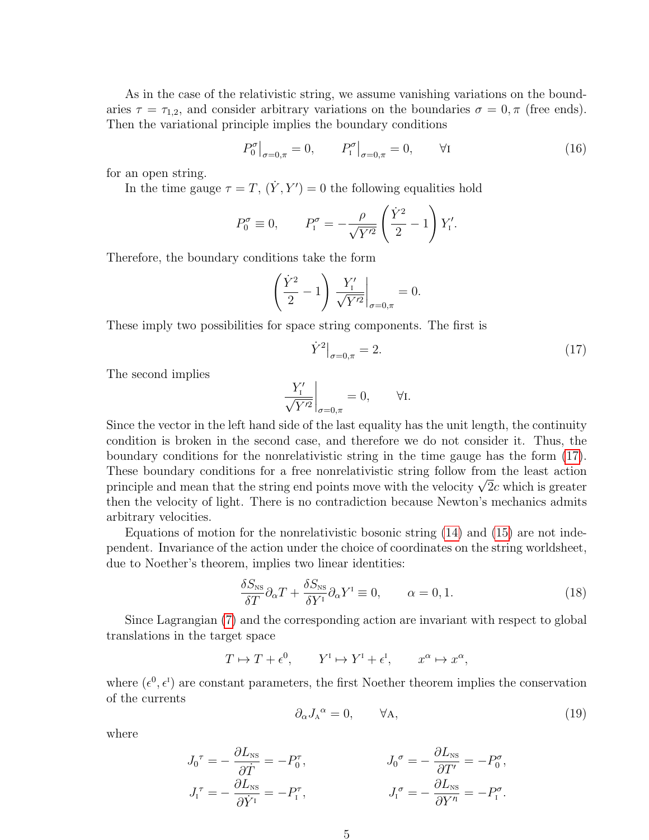As in the case of the relativistic string, we assume vanishing variations on the boundaries  $\tau = \tau_{1,2}$ , and consider arbitrary variations on the boundaries  $\sigma = 0, \pi$  (free ends). Then the variational principle implies the boundary conditions

$$
P_0^{\sigma}\big|_{\sigma=0,\pi} = 0, \qquad P_1^{\sigma}\big|_{\sigma=0,\pi} = 0, \qquad \forall I
$$
 (16)

for an open string.

In the time gauge  $\tau = T$ ,  $(\dot{Y}, Y') = 0$  the following equalities hold

$$
P_0^{\sigma} \equiv 0, \qquad P_1^{\sigma} = -\frac{\rho}{\sqrt{Y'^2}} \left(\frac{\dot{Y}^2}{2} - 1\right) Y_1'.
$$

Therefore, the boundary conditions take the form

$$
\left(\frac{\dot{Y}^2}{2} - 1\right) \left. \frac{Y'_1}{\sqrt{Y'^2}} \right|_{\sigma = 0, \pi} = 0.
$$

These imply two possibilities for space string components. The first is

<span id="page-4-0"></span>
$$
\dot{Y}^2\big|_{\sigma=0,\pi} = 2. \tag{17}
$$

The second implies

$$
\left. \frac{Y_1'}{\sqrt{Y'^2}} \right|_{\sigma=0,\pi} = 0, \qquad \forall \mathbf{I}.
$$

Since the vector in the left hand side of the last equality has the unit length, the continuity condition is broken in the second case, and therefore we do not consider it. Thus, the boundary conditions for the nonrelativistic string in the time gauge has the form [\(17\)](#page-4-0). These boundary conditions for a free nonrelativistic string follow from the least action These boundary conditions for a free nonrelativistic string follow from the least action<br>principle and mean that the string end points move with the velocity  $\sqrt{2}c$  which is greater then the velocity of light. There is no contradiction because Newton's mechanics admits arbitrary velocities.

Equations of motion for the nonrelativistic bosonic string [\(14\)](#page-3-1) and [\(15\)](#page-3-2) are not independent. Invariance of the action under the choice of coordinates on the string worldsheet, due to Noether's theorem, implies two linear identities:

$$
\frac{\delta S_{\rm NS}}{\delta T} \partial_{\alpha} T + \frac{\delta S_{\rm NS}}{\delta Y^{\rm I}} \partial_{\alpha} Y^{\rm I} \equiv 0, \qquad \alpha = 0, 1. \tag{18}
$$

Since Lagrangian [\(7\)](#page-3-0) and the corresponding action are invariant with respect to global translations in the target space

$$
T \mapsto T + \epsilon^0, \qquad Y^{\mathrm{I}} \mapsto Y^{\mathrm{I}} + \epsilon^{\mathrm{I}}, \qquad x^{\alpha} \mapsto x^{\alpha},
$$

where  $(\epsilon^0, \epsilon^I)$  are constant parameters, the first Noether theorem implies the conservation of the currents

<span id="page-4-1"></span>
$$
\partial_{\alpha} J_{A}{}^{\alpha} = 0, \qquad \forall A, \tag{19}
$$

where

$$
J_0^{\tau} = -\frac{\partial L_{\text{NS}}}{\partial \dot{T}} = -P_0^{\tau}, \qquad J_0^{\sigma} = -\frac{\partial L_{\text{NS}}}{\partial T'} = -P_0^{\sigma},
$$
  

$$
J_1^{\tau} = -\frac{\partial L_{\text{NS}}}{\partial \dot{Y}^{\tau}} = -P_1^{\tau}, \qquad J_1^{\sigma} = -\frac{\partial L_{\text{NS}}}{\partial Y^{\eta}} = -P_1^{\sigma}.
$$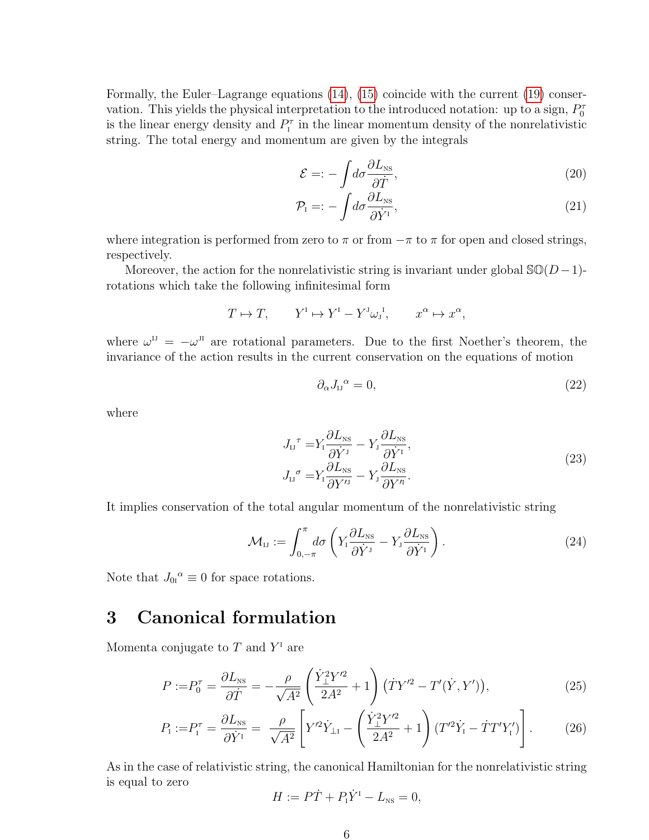Formally, the Euler–Lagrange equations [\(14\)](#page-3-1), [\(15\)](#page-3-2) coincide with the current [\(19\)](#page-4-1) conservation. This yields the physical interpretation to the introduced notation: up to a sign,  $P_0^{\tau}$ is the linear energy density and  $P_{I}^{\tau}$  in the linear momentum density of the nonrelativistic string. The total energy and momentum are given by the integrals

$$
\mathcal{E} =: -\int d\sigma \frac{\partial L_{\rm NS}}{\partial \dot{T}},\tag{20}
$$

$$
\mathcal{P}_{I} =: -\int d\sigma \frac{\partial L_{\text{NS}}}{\partial \dot{Y}^{I}},\tag{21}
$$

where integration is performed from zero to  $\pi$  or from  $-\pi$  to  $\pi$  for open and closed strings, respectively.

Moreover, the action for the nonrelativistic string is invariant under global  $\mathcal{SO}(D-1)$ rotations which take the following infinitesimal form

$$
T \mapsto T, \qquad Y^{\mathrm{I}} \mapsto Y^{\mathrm{I}} - Y^{\mathrm{J}} \omega_{\mathrm{J}}^{\mathrm{I}}, \qquad x^{\alpha} \mapsto x^{\alpha},
$$

where  $\omega^{IJ} = -\omega^{JI}$  are rotational parameters. Due to the first Noether's theorem, the invariance of the action results in the current conservation on the equations of motion

$$
\partial_{\alpha}J_{\alpha}^{\ \alpha} = 0,\tag{22}
$$

where

$$
J_{\rm IJ}^{\ \tau} = Y_{\rm I} \frac{\partial L_{\rm NS}}{\partial \dot{Y}^{\rm J}} - Y_{\rm J} \frac{\partial L_{\rm NS}}{\partial \dot{Y}^{\rm I}} ,
$$
  
\n
$$
J_{\rm IJ}^{\ \sigma} = Y_{\rm I} \frac{\partial L_{\rm NS}}{\partial Y^{\rm IJ}} - Y_{\rm J} \frac{\partial L_{\rm NS}}{\partial Y^{\rm I}} .
$$
\n(23)

It implies conservation of the total angular momentum of the nonrelativistic string

$$
\mathcal{M}_{IJ} := \int_{0, -\pi}^{\pi} d\sigma \left( Y_I \frac{\partial L_{NS}}{\partial \dot{Y}^J} - Y_J \frac{\partial L_{NS}}{\partial \dot{Y}^I} \right). \tag{24}
$$

Note that  $J_{0I}^{\alpha} \equiv 0$  for space rotations.

### 3 Canonical formulation

Momenta conjugate to  $T$  and  $Y^{\dagger}$  are

$$
P := P_0^{\tau} = \frac{\partial L_{\text{NS}}}{\partial \dot{T}} = -\frac{\rho}{\sqrt{A^2}} \left( \frac{\dot{Y}_{\perp}^2 Y^{\prime 2}}{2A^2} + 1 \right) (\dot{T} Y^{\prime 2} - T^{\prime} (\dot{Y}, Y^{\prime})), \tag{25}
$$

$$
P_{\rm I} := P_{\rm I}^{\tau} = \frac{\partial L_{\rm NS}}{\partial \dot{Y}^{\rm I}} = \frac{\rho}{\sqrt{A^2}} \left[ Y^{\prime 2} \dot{Y}_{\perp \rm I} - \left( \frac{\dot{Y}_{\perp}^2 Y^{\prime 2}}{2A^2} + 1 \right) (T^{\prime 2} \dot{Y}_{\rm I} - \dot{T} T^{\prime} Y_{\rm I}') \right]. \tag{26}
$$

As in the case of relativistic string, the canonical Hamiltonian for the nonrelativistic string is equal to zero

<span id="page-5-1"></span><span id="page-5-0"></span>
$$
H := P\dot{T} + P_{\rm I}\dot{Y}^{\rm I} - L_{\rm NS} = 0,
$$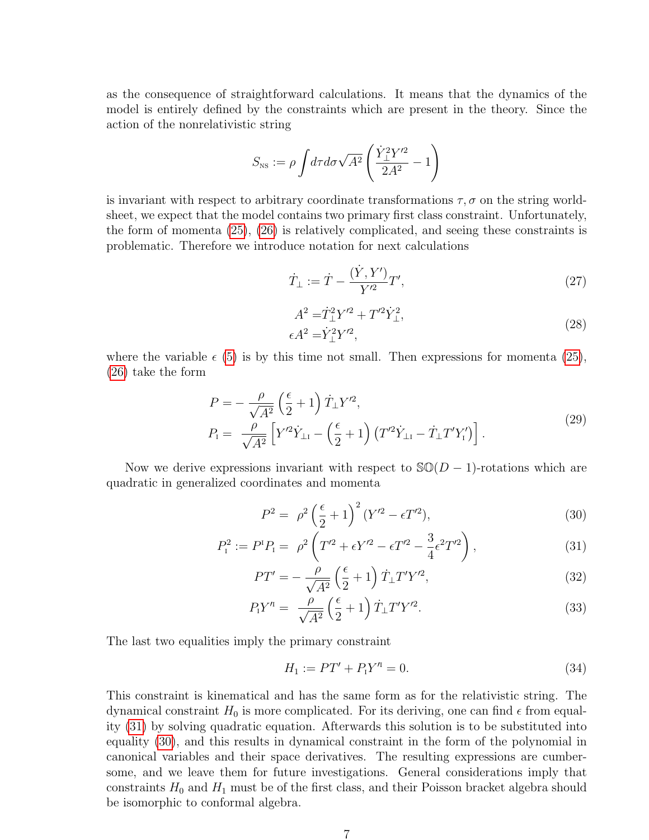as the consequence of straightforward calculations. It means that the dynamics of the model is entirely defined by the constraints which are present in the theory. Since the action of the nonrelativistic string

$$
S_{\text{NS}} := \rho \int d\tau d\sigma \sqrt{A^2} \left( \frac{\dot{Y}_{\perp}^2 Y'^2}{2A^2} - 1 \right)
$$

is invariant with respect to arbitrary coordinate transformations  $\tau$ ,  $\sigma$  on the string worldsheet, we expect that the model contains two primary first class constraint. Unfortunately, the form of momenta [\(25\)](#page-5-0), [\(26\)](#page-5-1) is relatively complicated, and seeing these constraints is problematic. Therefore we introduce notation for next calculations

$$
\dot{T}_{\perp} := \dot{T} - \frac{(\dot{Y}, Y')}{Y'^2} T',\tag{27}
$$

$$
A^{2} = \dot{T}_{\perp}^{2} Y'^{2} + T'^{2} \dot{Y}_{\perp}^{2},
$$
  
\n
$$
\epsilon A^{2} = \dot{Y}_{\perp}^{2} Y'^{2},
$$
\n(28)

where the variable  $\epsilon$  [\(5\)](#page-2-1) is by this time not small. Then expressions for momenta [\(25\)](#page-5-0), [\(26\)](#page-5-1) take the form

$$
P = -\frac{\rho}{\sqrt{A^2}} \left(\frac{\epsilon}{2} + 1\right) \dot{T}_{\perp} Y'^2,
$$
  
\n
$$
P_1 = \frac{\rho}{\sqrt{A^2}} \left[ Y'^2 \dot{Y}_{\perp 1} - \left(\frac{\epsilon}{2} + 1\right) \left( T'^2 \dot{Y}_{\perp 1} - \dot{T}_{\perp} T' Y'_1 \right) \right].
$$
\n(29)

Now we derive expressions invariant with respect to  $\mathcal{SO}(D-1)$ -rotations which are quadratic in generalized coordinates and momenta

<span id="page-6-1"></span><span id="page-6-0"></span>
$$
P^2 = \rho^2 \left(\frac{\epsilon}{2} + 1\right)^2 (Y'^2 - \epsilon T'^2),\tag{30}
$$

$$
P_1^2 := P^1 P_1 = \rho^2 \left( T'^2 + \epsilon Y'^2 - \epsilon T'^2 - \frac{3}{4} \epsilon^2 T'^2 \right), \tag{31}
$$

$$
PT' = -\frac{\rho}{\sqrt{A^2}} \left(\frac{\epsilon}{2} + 1\right) \dot{T}_{\perp} T' Y'^2,\tag{32}
$$

$$
P_1 Y'^{t} = \frac{\rho}{\sqrt{A^2}} \left(\frac{\epsilon}{2} + 1\right) \dot{T}_\perp T' Y'^{2}.
$$
\n(33)

The last two equalities imply the primary constraint

$$
H_1 := PT' + P_1 Y'^{n} = 0.
$$
\n(34)

This constraint is kinematical and has the same form as for the relativistic string. The dynamical constraint  $H_0$  is more complicated. For its deriving, one can find  $\epsilon$  from equality [\(31\)](#page-6-0) by solving quadratic equation. Afterwards this solution is to be substituted into equality [\(30\)](#page-6-1), and this results in dynamical constraint in the form of the polynomial in canonical variables and their space derivatives. The resulting expressions are cumbersome, and we leave them for future investigations. General considerations imply that constraints  $H_0$  and  $H_1$  must be of the first class, and their Poisson bracket algebra should be isomorphic to conformal algebra.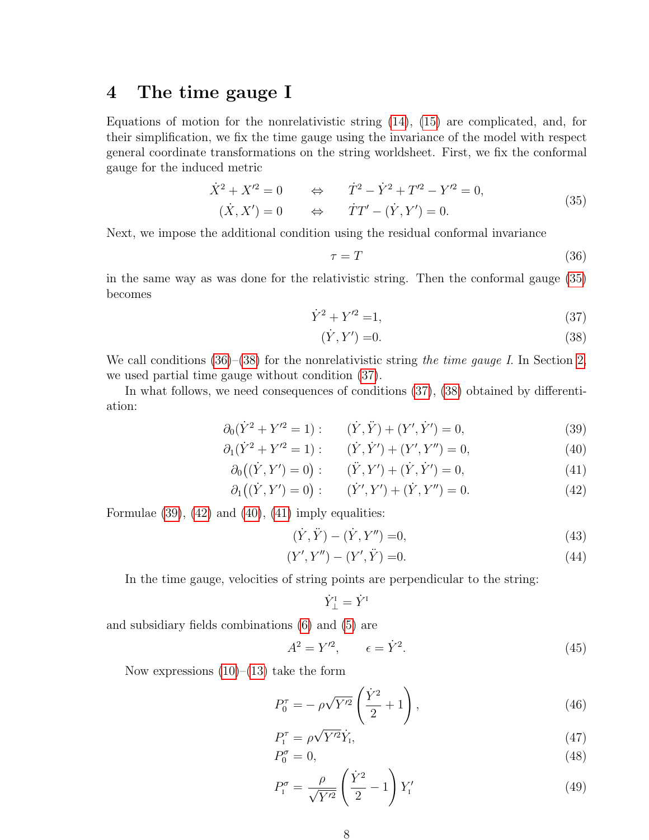#### 4 The time gauge I

Equations of motion for the nonrelativistic string [\(14\)](#page-3-1), [\(15\)](#page-3-2) are complicated, and, for their simplification, we fix the time gauge using the invariance of the model with respect general coordinate transformations on the string worldsheet. First, we fix the conformal gauge for the induced metric

$$
\dot{X}^2 + X'^2 = 0 \qquad \Leftrightarrow \qquad \dot{T}^2 - \dot{Y}^2 + T'^2 - Y'^2 = 0,
$$
\n
$$
(\dot{X}, X') = 0 \qquad \Leftrightarrow \qquad \dot{T}T' - (\dot{Y}, Y') = 0.
$$
\n(35)

<span id="page-7-0"></span>Next, we impose the additional condition using the residual conformal invariance

<span id="page-7-3"></span><span id="page-7-2"></span><span id="page-7-1"></span>
$$
\tau = T \tag{36}
$$

in the same way as was done for the relativistic string. Then the conformal gauge [\(35\)](#page-7-0) becomes

$$
\dot{Y}^2 + Y'^2 = 1,\tag{37}
$$

<span id="page-7-7"></span><span id="page-7-6"></span><span id="page-7-4"></span>
$$
(\dot{Y}, Y') = 0.\t\t(38)
$$

We call conditions  $(36)$ – $(38)$  for the nonrelativistic string the time gauge I. In Section [2,](#page-1-2) we used partial time gauge without condition [\(37\)](#page-7-3).

In what follows, we need consequences of conditions [\(37\)](#page-7-3), [\(38\)](#page-7-2) obtained by differentiation:

$$
\partial_0(\dot{Y}^2 + Y'^2 = 1) : \qquad (\dot{Y}, \ddot{Y}) + (Y', \dot{Y}') = 0,\tag{39}
$$

$$
\partial_1(\dot{Y}^2 + Y'^2 = 1) : \qquad (\dot{Y}, \dot{Y}') + (Y', Y'') = 0,\tag{40}
$$

$$
\partial_0((\dot{Y}, Y') = 0) : \qquad (\ddot{Y}, Y') + (\dot{Y}, \dot{Y}') = 0,\tag{41}
$$

$$
\partial_1((\dot{Y}, Y') = 0) : \qquad (\dot{Y}', Y') + (\dot{Y}, Y'') = 0. \tag{42}
$$

Formulae  $(39)$ ,  $(42)$  and  $(40)$ ,  $(41)$  imply equalities:

$$
(\dot{Y}, \ddot{Y}) - (\dot{Y}, Y'') = 0,\t(43)
$$

$$
(Y', Y'') - (Y', \ddot{Y}) = 0.
$$
\n(44)

In the time gauge, velocities of string points are perpendicular to the string:

<span id="page-7-8"></span><span id="page-7-5"></span>
$$
\dot Y^{\scriptscriptstyle \rm I}_\perp=\dot Y^{\scriptscriptstyle \rm I}
$$

and subsidiary fields combinations [\(6\)](#page-2-2) and [\(5\)](#page-2-1) are

$$
A^2 = Y^{\prime 2}, \qquad \epsilon = \dot{Y}^2. \tag{45}
$$

Now expressions  $(10)$ – $(13)$  take the form

$$
P_0^{\tau} = -\rho \sqrt{Y'^2} \left(\frac{\dot{Y}^2}{2} + 1\right),\tag{46}
$$

$$
P_{\rm I}^{\tau} = \rho \sqrt{Y^{\prime 2}} \dot{Y}_{\rm I},\tag{47}
$$

$$
P_0^{\sigma} = 0,\t\t(48)
$$

<span id="page-7-9"></span>
$$
P_{\rm I}^{\sigma} = \frac{\rho}{\sqrt{Y'^2}} \left(\frac{\dot{Y}^2}{2} - 1\right) Y_{\rm I}' \tag{49}
$$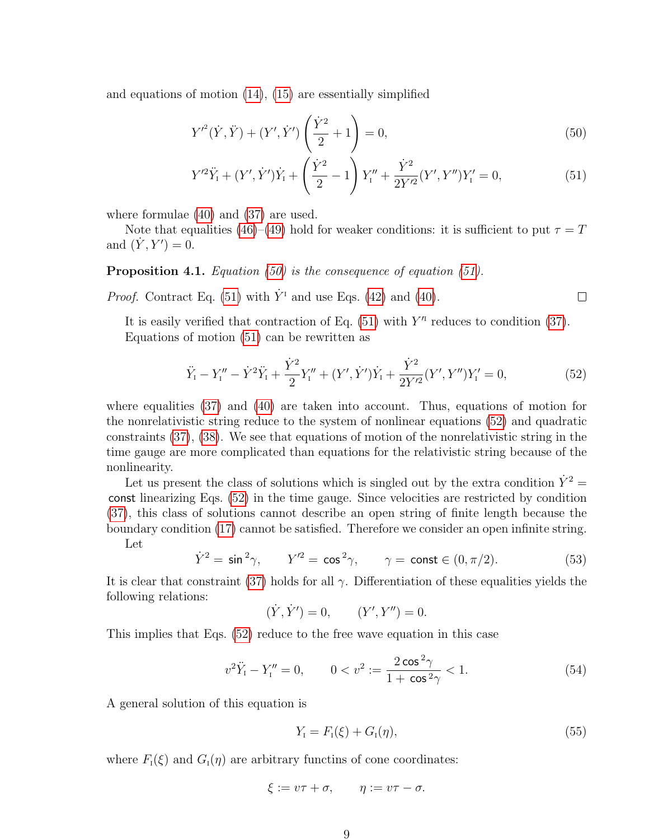and equations of motion [\(14\)](#page-3-1), [\(15\)](#page-3-2) are essentially simplified

$$
Y'^{2}(\dot{Y}, \ddot{Y}) + (Y', \dot{Y}') \left(\frac{\dot{Y}^{2}}{2} + 1\right) = 0,
$$
\n(50)

$$
Y'^2 \ddot{Y}_1 + (Y', \dot{Y}') \dot{Y}_1 + \left(\frac{\dot{Y}^2}{2} - 1\right) Y''_1 + \frac{\dot{Y}^2}{2Y'^2} (Y', Y'') Y'_1 = 0, \tag{51}
$$

where formulae [\(40\)](#page-7-6) and [\(37\)](#page-7-3) are used.

Note that equalities [\(46\)](#page-7-8)–[\(49\)](#page-7-9) hold for weaker conditions: it is sufficient to put  $\tau = T$ and  $(Y, Y') = 0$ .

#### Proposition 4.1. Equation [\(50\)](#page-8-0) is the consequence of equation [\(51\)](#page-8-1).

*Proof.* Contract Eq. [\(51\)](#page-8-1) with  $\dot{Y}$ <sup>T</sup> and use Eqs. [\(42\)](#page-7-5) and [\(40\)](#page-7-6).

It is easily verified that contraction of Eq.  $(51)$  with  $Y<sup>n</sup>$  reduces to condition  $(37)$ . Equations of motion [\(51\)](#page-8-1) can be rewritten as

<span id="page-8-2"></span>
$$
\ddot{Y}_I - Y''_I - \dot{Y}^2 \ddot{Y}_I + \frac{\dot{Y}^2}{2} Y''_I + (Y', \dot{Y}') \dot{Y}_I + \frac{\dot{Y}^2}{2Y'^2} (Y', Y'') Y'_I = 0, \tag{52}
$$

<span id="page-8-1"></span><span id="page-8-0"></span> $\Box$ 

where equalities [\(37\)](#page-7-3) and [\(40\)](#page-7-6) are taken into account. Thus, equations of motion for the nonrelativistic string reduce to the system of nonlinear equations [\(52\)](#page-8-2) and quadratic constraints [\(37\)](#page-7-3), [\(38\)](#page-7-2). We see that equations of motion of the nonrelativistic string in the time gauge are more complicated than equations for the relativistic string because of the nonlinearity.

Let us present the class of solutions which is singled out by the extra condition  $\dot{Y}^2$  = const linearizing Eqs. [\(52\)](#page-8-2) in the time gauge. Since velocities are restricted by condition [\(37\)](#page-7-3), this class of solutions cannot describe an open string of finite length because the boundary condition [\(17\)](#page-4-0) cannot be satisfied. Therefore we consider an open infinite string.

Let

<span id="page-8-3"></span> $\dot{Y}^2 = \sin^2 \gamma$ ,  $Y'^2 = \cos^2 \gamma$ ,  $\gamma = \text{const} \in (0, \pi/2)$ . (53)

It is clear that constraint [\(37\)](#page-7-3) holds for all  $\gamma$ . Differentiation of these equalities yields the following relations:

$$
(\dot{Y}, \dot{Y}') = 0,
$$
  $(Y', Y'') = 0.$ 

This implies that Eqs. [\(52\)](#page-8-2) reduce to the free wave equation in this case

<span id="page-8-4"></span>
$$
v^{2}\ddot{Y}_{1} - Y_{1}'' = 0, \qquad 0 < v^{2} := \frac{2\cos^{2}\gamma}{1 + \cos^{2}\gamma} < 1. \tag{54}
$$

A general solution of this equation is

<span id="page-8-5"></span>
$$
Y_{I} = F_{I}(\xi) + G_{I}(\eta), \tag{55}
$$

where  $F_1(\xi)$  and  $G_1(\eta)$  are arbitrary functins of cone coordinates:

$$
\xi := v\tau + \sigma, \qquad \eta := v\tau - \sigma.
$$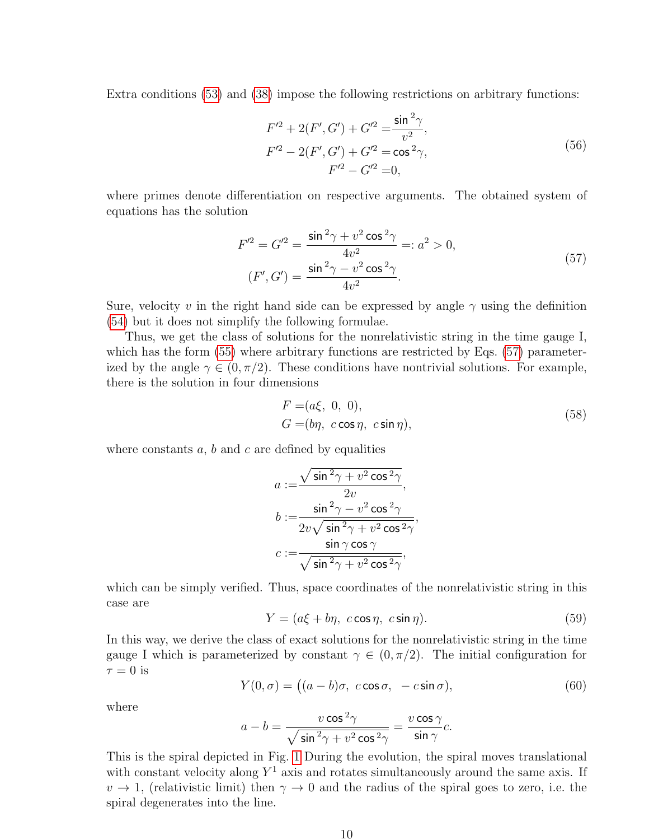Extra conditions [\(53\)](#page-8-3) and [\(38\)](#page-7-2) impose the following restrictions on arbitrary functions:

$$
F'^{2} + 2(F', G') + G'^{2} = \frac{\sin^{2} \gamma}{v^{2}},
$$
  
\n
$$
F'^{2} - 2(F', G') + G'^{2} = \cos^{2} \gamma,
$$
  
\n
$$
F'^{2} - G'^{2} = 0,
$$
\n(56)

where primes denote differentiation on respective arguments. The obtained system of equations has the solution

$$
F'^{2} = G'^{2} = \frac{\sin^{2}\gamma + v^{2}\cos^{2}\gamma}{4v^{2}} =: a^{2} > 0,
$$
  
(F', G') = 
$$
\frac{\sin^{2}\gamma - v^{2}\cos^{2}\gamma}{4v^{2}}.
$$
 (57)

<span id="page-9-0"></span>Sure, velocity v in the right hand side can be expressed by angle  $\gamma$  using the definition [\(54\)](#page-8-4) but it does not simplify the following formulae.

Thus, we get the class of solutions for the nonrelativistic string in the time gauge I, which has the form  $(55)$  where arbitrary functions are restricted by Eqs. [\(57\)](#page-9-0) parameterized by the angle  $\gamma \in (0, \pi/2)$ . These conditions have nontrivial solutions. For example, there is the solution in four dimensions

$$
F = (a\xi, 0, 0),
$$
  
\n
$$
G = (b\eta, c\cos\eta, c\sin\eta),
$$
\n(58)

where constants  $a, b$  and  $c$  are defined by equalities

$$
a := \frac{\sqrt{\sin^2 \gamma + v^2 \cos^2 \gamma}}{2v},
$$
  
\n
$$
b := \frac{\sin^2 \gamma - v^2 \cos^2 \gamma}{2v \sqrt{\sin^2 \gamma + v^2 \cos^2 \gamma}},
$$
  
\n
$$
c := \frac{\sin \gamma \cos \gamma}{\sqrt{\sin^2 \gamma + v^2 \cos^2 \gamma}},
$$

which can be simply verified. Thus, space coordinates of the nonrelativistic string in this case are

$$
Y = (a\xi + b\eta, c\cos\eta, c\sin\eta). \tag{59}
$$

In this way, we derive the class of exact solutions for the nonrelativistic string in the time gauge I which is parameterized by constant  $\gamma \in (0, \pi/2)$ . The initial configuration for  $\tau = 0$  is

$$
Y(0,\sigma) = \big( (a-b)\sigma, \ c\cos\sigma, \ -c\sin\sigma \big),\tag{60}
$$

where

$$
a-b=\frac{v\cos^2\!\gamma}{\sqrt{\sin^2\!\gamma+v^2\cos^2\!\gamma}}=\frac{v\cos\gamma}{\sin\gamma}c.
$$

This is the spiral depicted in Fig. [1](#page-10-0) During the evolution, the spiral moves translational with constant velocity along  $Y^1$  axis and rotates simultaneously around the same axis. If  $v \to 1$ , (relativistic limit) then  $\gamma \to 0$  and the radius of the spiral goes to zero, i.e. the spiral degenerates into the line.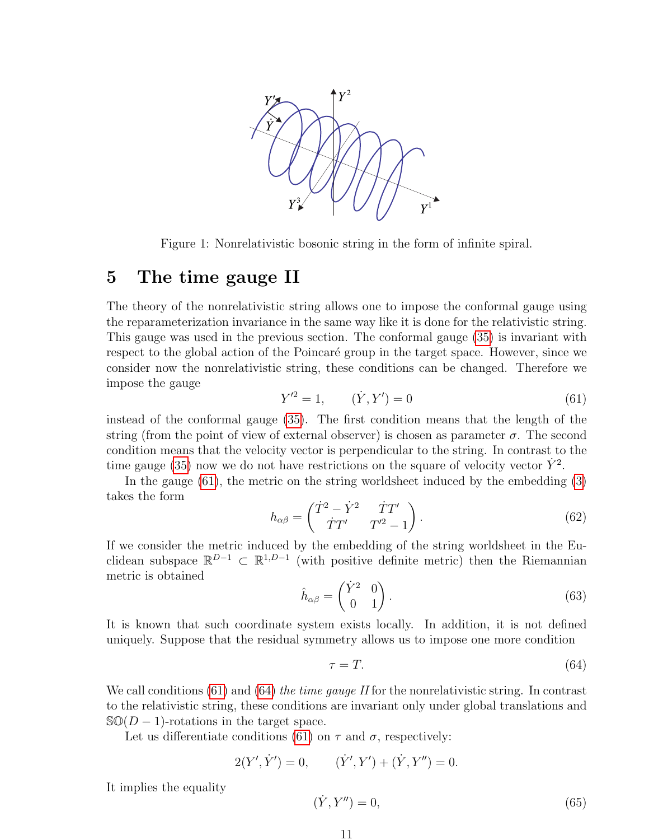

<span id="page-10-0"></span>Figure 1: Nonrelativistic bosonic string in the form of infinite spiral.

#### 5 The time gauge II

The theory of the nonrelativistic string allows one to impose the conformal gauge using the reparameterization invariance in the same way like it is done for the relativistic string. This gauge was used in the previous section. The conformal gauge [\(35\)](#page-7-0) is invariant with respect to the global action of the Poincaré group in the target space. However, since we consider now the nonrelativistic string, these conditions can be changed. Therefore we impose the gauge

<span id="page-10-1"></span>
$$
Y'^2 = 1, \qquad (\dot{Y}, Y') = 0 \tag{61}
$$

instead of the conformal gauge [\(35\)](#page-7-0). The first condition means that the length of the string (from the point of view of external observer) is chosen as parameter  $\sigma$ . The second condition means that the velocity vector is perpendicular to the string. In contrast to the time gauge [\(35\)](#page-7-0) now we do not have restrictions on the square of velocity vector  $\dot{Y}^2$ .

In the gauge [\(61\)](#page-10-1), the metric on the string worldsheet induced by the embedding [\(3\)](#page-1-3) takes the form

$$
h_{\alpha\beta} = \begin{pmatrix} \dot{T}^2 - \dot{Y}^2 & \dot{T}T' \\ \dot{T}T' & T'^2 - 1 \end{pmatrix} . \tag{62}
$$

If we consider the metric induced by the embedding of the string worldsheet in the Euclidean subspace  $\mathbb{R}^{D-1} \subset \mathbb{R}^{1,D-1}$  (with positive definite metric) then the Riemannian metric is obtained

$$
\hat{h}_{\alpha\beta} = \begin{pmatrix} \dot{Y}^2 & 0 \\ 0 & 1 \end{pmatrix} . \tag{63}
$$

It is known that such coordinate system exists locally. In addition, it is not defined uniquely. Suppose that the residual symmetry allows us to impose one more condition

<span id="page-10-2"></span>
$$
\tau = T.\tag{64}
$$

We call conditions [\(61\)](#page-10-1) and [\(64\)](#page-10-2) the time gauge II for the nonrelativistic string. In contrast to the relativistic string, these conditions are invariant only under global translations and  $\mathcal{S} \mathbb{O}(D-1)$ -rotations in the target space.

Let us differentiate conditions [\(61\)](#page-10-1) on  $\tau$  and  $\sigma$ , respectively:

$$
2(Y', \dot{Y}') = 0, \qquad (\dot{Y}', Y') + (\dot{Y}, Y'') = 0.
$$

It implies the equality

<span id="page-10-3"></span>
$$
(\dot{Y}, Y'') = 0,\tag{65}
$$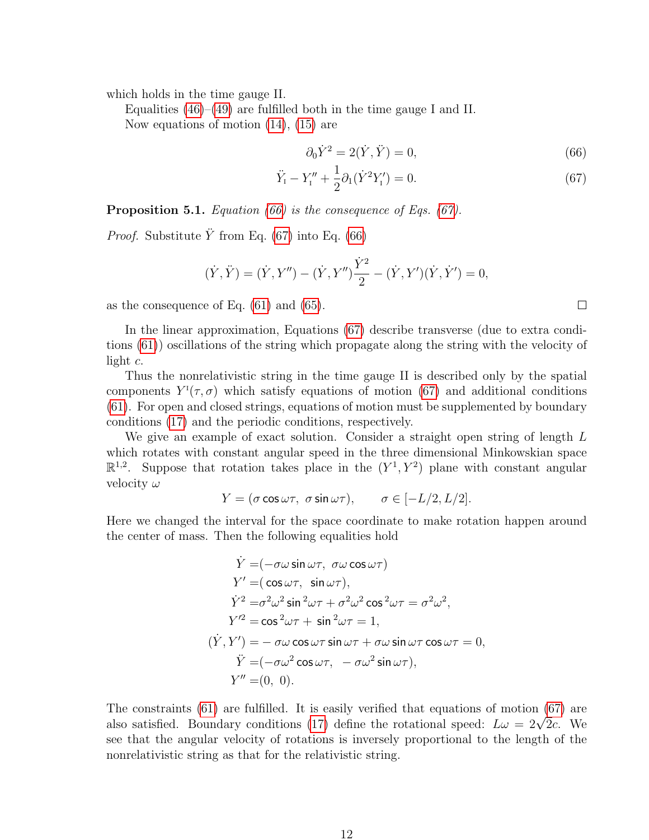which holds in the time gauge II.

Equalities [\(46\)](#page-7-8)–[\(49\)](#page-7-9) are fulfilled both in the time gauge I and II. Now equations of motion [\(14\)](#page-3-1), [\(15\)](#page-3-2) are

$$
\partial_0 \dot{Y}^2 = 2(\dot{Y}, \ddot{Y}) = 0,\tag{66}
$$

$$
\ddot{Y}_I - Y''_I + \frac{1}{2}\partial_1(\dot{Y}^2 Y'_I) = 0.
$$
\n(67)

**Proposition 5.1.** Equation [\(66\)](#page-11-0) is the consequence of Eqs. [\(67\)](#page-11-1).

*Proof.* Substitute  $\ddot{Y}$  from Eq. [\(67\)](#page-11-1) into Eq. [\(66\)](#page-11-0)

$$
(\dot{Y}, \ddot{Y}) = (\dot{Y}, Y'') - (\dot{Y}, Y'')\frac{\dot{Y}^2}{2} - (\dot{Y}, Y')(\dot{Y}, \dot{Y}') = 0,
$$

as the consequence of Eq. [\(61\)](#page-10-1) and [\(65\)](#page-10-3).

In the linear approximation, Equations [\(67\)](#page-11-1) describe transverse (due to extra conditions [\(61\)](#page-10-1)) oscillations of the string which propagate along the string with the velocity of light c.

Thus the nonrelativistic string in the time gauge II is described only by the spatial components  $Y^{\dagger}(\tau,\sigma)$  which satisfy equations of motion [\(67\)](#page-11-1) and additional conditions [\(61\)](#page-10-1). For open and closed strings, equations of motion must be supplemented by boundary conditions [\(17\)](#page-4-0) and the periodic conditions, respectively.

We give an example of exact solution. Consider a straight open string of length L which rotates with constant angular speed in the three dimensional Minkowskian space  $\mathbb{R}^{1,2}$ . Suppose that rotation takes place in the  $(Y^1, Y^2)$  plane with constant angular velocity  $\omega$ 

$$
Y = (\sigma \cos \omega \tau, \ \sigma \sin \omega \tau), \qquad \sigma \in [-L/2, L/2].
$$

Here we changed the interval for the space coordinate to make rotation happen around the center of mass. Then the following equalities hold

$$
\dot{Y} = (-\sigma\omega\sin\omega\tau, \ \sigma\omega\cos\omega\tau)
$$
  
\n
$$
Y' = (\cos\omega\tau, \ \sin\omega\tau),
$$
  
\n
$$
\dot{Y}^2 = \sigma^2\omega^2\sin^2\omega\tau + \sigma^2\omega^2\cos^2\omega\tau = \sigma^2\omega^2,
$$
  
\n
$$
Y'^2 = \cos^2\omega\tau + \sin^2\omega\tau = 1,
$$
  
\n
$$
(\dot{Y}, Y') = -\sigma\omega\cos\omega\tau\sin\omega\tau + \sigma\omega\sin\omega\tau\cos\omega\tau = 0,
$$
  
\n
$$
\ddot{Y} = (-\sigma\omega^2\cos\omega\tau, \ -\sigma\omega^2\sin\omega\tau),
$$
  
\n
$$
Y'' = (0, 0).
$$

The constraints [\(61\)](#page-10-1) are fulfilled. It is easily verified that equations of motion [\(67\)](#page-11-1) are The constraints (61) are fulnified. It is easily verified that equations of motion (67) are also satisfied. Boundary conditions [\(17\)](#page-4-0) define the rotational speed:  $L\omega = 2\sqrt{2}c$ . We see that the angular velocity of rotations is inversely proportional to the length of the nonrelativistic string as that for the relativistic string.

<span id="page-11-1"></span><span id="page-11-0"></span> $\Box$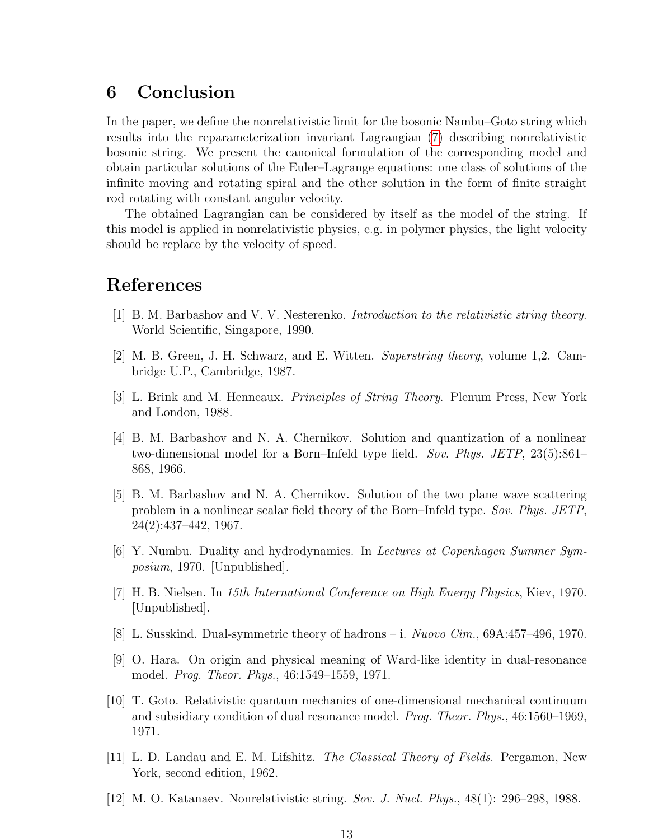### 6 Conclusion

In the paper, we define the nonrelativistic limit for the bosonic Nambu–Goto string which results into the reparameterization invariant Lagrangian [\(7\)](#page-3-0) describing nonrelativistic bosonic string. We present the canonical formulation of the corresponding model and obtain particular solutions of the Euler–Lagrange equations: one class of solutions of the infinite moving and rotating spiral and the other solution in the form of finite straight rod rotating with constant angular velocity.

The obtained Lagrangian can be considered by itself as the model of the string. If this model is applied in nonrelativistic physics, e.g. in polymer physics, the light velocity should be replace by the velocity of speed.

## References

- <span id="page-12-0"></span>[1] B. M. Barbashov and V. V. Nesterenko. Introduction to the relativistic string theory. World Scientific, Singapore, 1990.
- <span id="page-12-1"></span>[2] M. B. Green, J. H. Schwarz, and E. Witten. Superstring theory, volume 1,2. Cambridge U.P., Cambridge, 1987.
- <span id="page-12-2"></span>[3] L. Brink and M. Henneaux. Principles of String Theory. Plenum Press, New York and London, 1988.
- [4] B. M. Barbashov and N. A. Chernikov. Solution and quantization of a nonlinear two-dimensional model for a Born–Infeld type field. Sov. Phys. JETP, 23(5):861– 868, 1966.
- [5] B. M. Barbashov and N. A. Chernikov. Solution of the two plane wave scattering problem in a nonlinear scalar field theory of the Born–Infeld type. Sov. Phys. JETP, 24(2):437–442, 1967.
- [6] Y. Numbu. Duality and hydrodynamics. In Lectures at Copenhagen Summer Symposium, 1970. [Unpublished].
- [7] H. B. Nielsen. In 15th International Conference on High Energy Physics, Kiev, 1970. [Unpublished].
- [8] L. Susskind. Dual-symmetric theory of hadrons i. Nuovo Cim., 69A:457–496, 1970.
- [9] O. Hara. On origin and physical meaning of Ward-like identity in dual-resonance model. Prog. Theor. Phys., 46:1549–1559, 1971.
- [10] T. Goto. Relativistic quantum mechanics of one-dimensional mechanical continuum and subsidiary condition of dual resonance model. Prog. Theor. Phys., 46:1560–1969, 1971.
- <span id="page-12-3"></span>[11] L. D. Landau and E. M. Lifshitz. The Classical Theory of Fields. Pergamon, New York, second edition, 1962.
- <span id="page-12-4"></span>[12] M. O. Katanaev. Nonrelativistic string. Sov. J. Nucl. Phys., 48(1): 296–298, 1988.